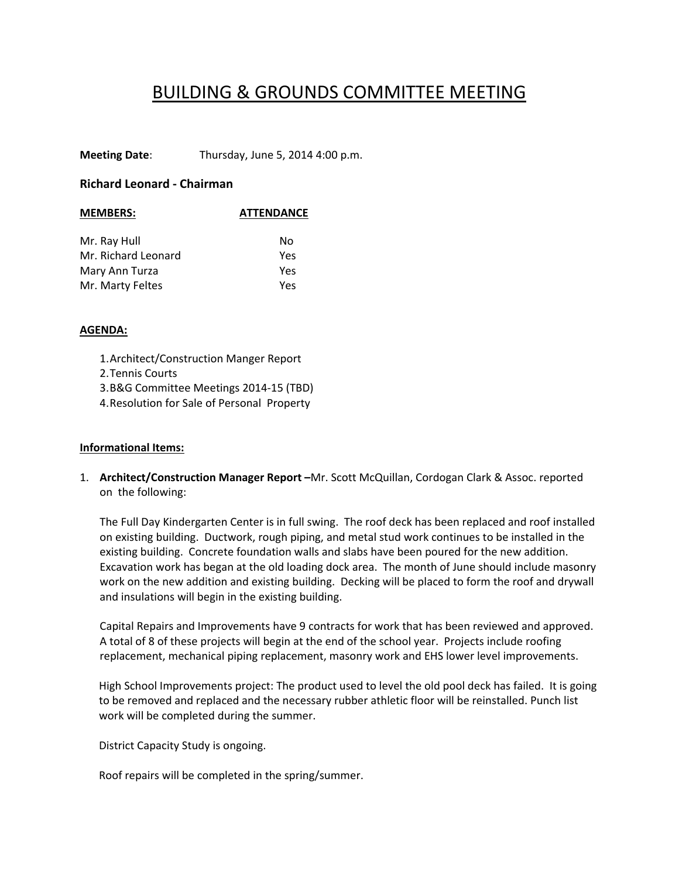## BUILDING & GROUNDS COMMITTEE MEETING

**Meeting Date**: Thursday, June 5, 2014 4:00 p.m.

## **Richard Leonard ‐ Chairman**

| <b>MEMBERS:</b>     | <b>ATTENDANCE</b> |  |
|---------------------|-------------------|--|
|                     |                   |  |
| Mr. Ray Hull        | No                |  |
| Mr. Richard Leonard | Yes               |  |
| Mary Ann Turza      | Yes               |  |
| Mr. Marty Feltes    | Yes               |  |
|                     |                   |  |

## **AGENDA:**

1.Architect/Construction Manger Report 2.Tennis Courts 3.B&G Committee Meetings 2014‐15 (TBD) 4.Resolution for Sale of Personal Property

## **Informational Items:**

1. **Architect/Construction Manager Report –**Mr. Scott McQuillan, Cordogan Clark & Assoc. reported on the following:

The Full Day Kindergarten Center is in full swing. The roof deck has been replaced and roof installed on existing building. Ductwork, rough piping, and metal stud work continues to be installed in the existing building. Concrete foundation walls and slabs have been poured for the new addition. Excavation work has began at the old loading dock area. The month of June should include masonry work on the new addition and existing building. Decking will be placed to form the roof and drywall and insulations will begin in the existing building.

Capital Repairs and Improvements have 9 contracts for work that has been reviewed and approved. A total of 8 of these projects will begin at the end of the school year. Projects include roofing replacement, mechanical piping replacement, masonry work and EHS lower level improvements.

High School Improvements project: The product used to level the old pool deck has failed. It is going to be removed and replaced and the necessary rubber athletic floor will be reinstalled. Punch list work will be completed during the summer.

District Capacity Study is ongoing.

Roof repairs will be completed in the spring/summer.